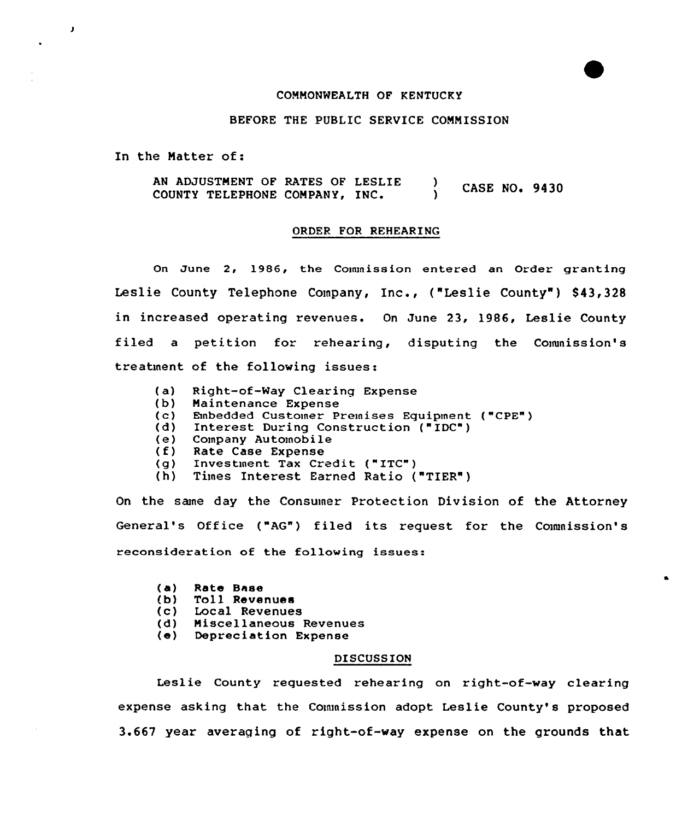## COMMONWEALTH OF KENTUCKY

## BEFORE THE PUBLIC SERVICE COMMISSION

In the Matter of:

J

AN ADJUSTMENT OF RATES OF LESLIE AN ADJUSTMENT OF RATES OF LESLIE (2008)<br>COUNTY TELEPHONE COMPANY, INC. (2008)

## ORDER FOR REHEARING

On June 2, 1986, the Commission entered an Order granting Leslie County Telephone Company, Inc., ("Leslie County") \$43,328 in increased operating revenues. On June 23, 1986, Leslie County filed <sup>a</sup> petition for rehearing, disputing the Conunission's treatment of the following issues:

- (a) Right-of-Way Clearing Expense
- $\begin{pmatrix} b \\ c \end{pmatrix}$ Maintenance Expense
- Rnbedded Customer Premises Equipment ("CPE")
- (d) Interest During Construction ("IDC")
- Company Automobile
- $(f)$ Rate Case Expense
- $(q)$ Investment Tax Credit ("ITC")
- (h) Times Interest Earned Ratio ("TIER" )

On the sane day the Consumer Protection Division of the Attorney General's Office ("AG") filed its request for the Commission's reconsideration of the following issues:

- (a) Rate Base
- (b) Toll Revenues
- (c) Local Revenues
- (d) Miscellaneous Revenues
- (e) Depreciation Expense

## DISCUSSION

Leslie County requested rehearing on right-of-way clearing expense asking that the Commission adopt Leslie County's proposed 3.667 year averaging of right-of-way expense on the grounds that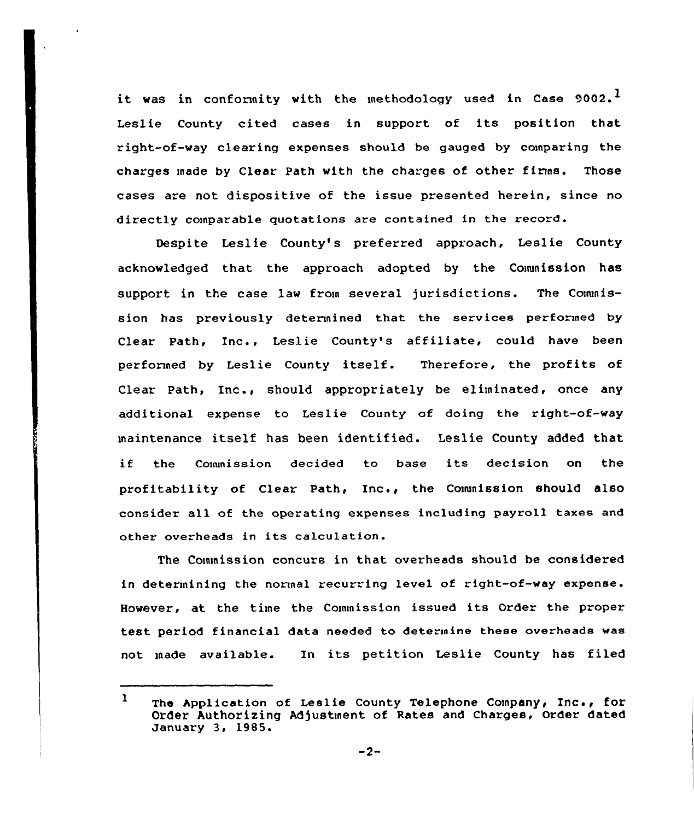it was in conformity with the methodology used in Case 9002.<sup>1</sup> Leslie County cited cases in support of its position that right-of-way clearing expenses should be gauged by comparing the charges made by Clear Path with the charges of other firms. Those cases are not dispositive of the issue presented herein, since no directly comparable quotations are contained in the record.

Despite Leslie County's preferred approach, Leslie County acknowledged that the approach adopted by the Comnission has support in the case law from several jurisdictions. The Commission has previously determined that the services performed by Clear Path, Inc., Leslie County's affiliate, could have been performed by Leslie County itself. Therefore, the profits of Clear Path, Inc., should appropriately be eliminated, once any additional expense to Leslie County of doing the right-of-way maintenance itself has been identified. Leslie County added that if the CoManission decided to base its decision on the profitability of Clear Path, Inc., the Commission should also consider all of the operating expenses including payroll taxes and other overheads in its calculation.

The Commission concurs in that overheads should be considered in determining the normal recurring level of right-of-way expense. However, at the time the Cownission issued its Order the proper test period financial data needed to determine these overheads was not made available. In its petition Leslie County has filed

 $1$  The Application of Leslie County Telephone Company, Inc., for Order Authorizing Adjustment of Rates and Charges, Order dated January 3, 19&5.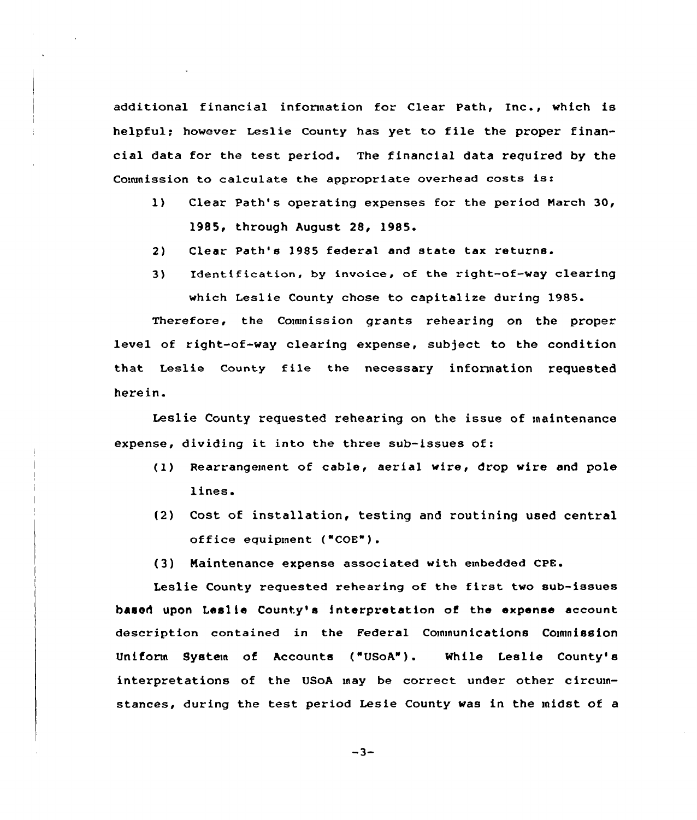additional financial information for Clear Path, Inc., which is helpful; however Leslie County has yet to file the proper financial data for the test period. The financial data required by the Commission to calculate the appropriate overhead costs is:

- 1) Clear Path's operating expenses for the period March 30, 1985, through August 28, 1985.
- 2) Clear Path's 1985 federal and state tax returns.
- 3) Identif ication, by invoice, of the right-of-way clearing which Leslie County chose to capitalize during 1985.

Therefore, the Commission grants rehearing on the proper level of right-of-way clearing expense, subject to the condition that Leslie County file the necessary information requested herein.

Leslie County requested rehearing on the issue of maintenance expense, dividing it into the three sub-issues of:

- (1) Rearrangement of cable, aerial wire, drop wire and pole lines.
- (2) Cost of installation, testing and routining used central office equipment ("COE").
- (3) Naintenance expense associated with embedded cpE.

Leslie County requested rehearing of the first two sub-issues based upon Leslie County's interpretation of the expense account description contained in the Federal Communications Commission Uniform System of Accounts ("USoA"). While Leslie County's interpretations of the USoA may be correct under other circumstances, during the test period Lesie County was in the midst of a

 $-3-$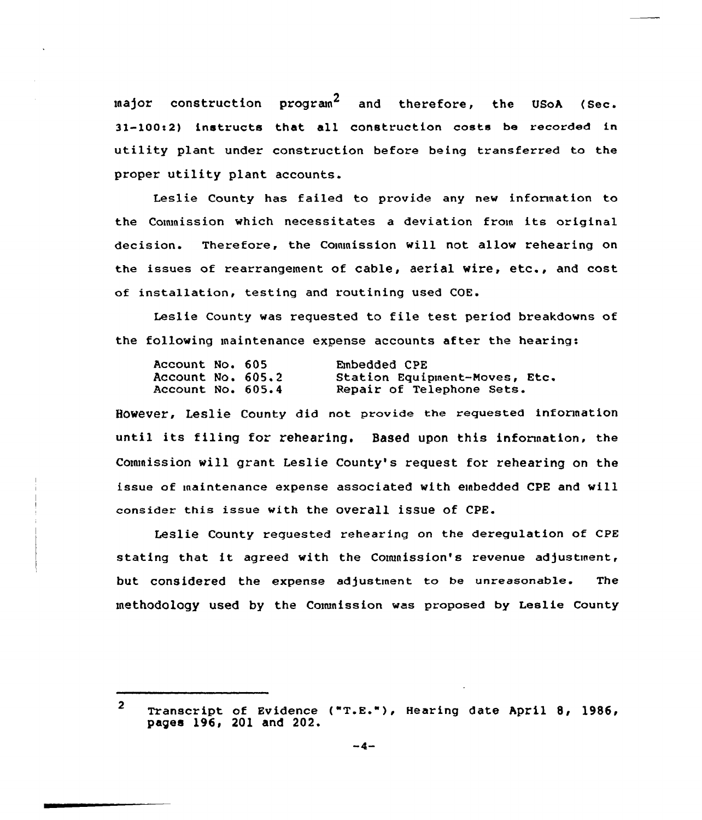$na$  construction program<sup>2</sup> and therefore, the USoA (Sec.  $31-100:2$ ) instructs that all construction costs be recorded in utility plant under construction before being transferred to the proper utility plant accounts.

Leslie County has failed to provide any new information to the Commission which necessitates <sup>a</sup> deviation from its original decision. Therefore, the Commission will not allow rehearing on the issues of rearrangement of cable, aerial wire, etc., and cost of installation, testing and routining used COE.

Leslie County was requested to file test period breakdowns of the following maintenance expense accounts after the hearing:

| Account No. 605   |  | Embedded CPE                  |
|-------------------|--|-------------------------------|
| Account No. 605.2 |  | Station Equipment-Moves, Etc. |
| Account No. 605.4 |  | Repair of Telephone Sets.     |

However, Leslie County did not provide the requested information until its filing for rehearing. Based upon this information, the Commission will grant Leslie County's request for rehearing on the issue of maintenance expense associated with embedded CPE and will consider this issue with the overall issue of CPE.

Leslie County reguested rehearing on the deregulation of CPE stating that it agreed with the Conunission's revenue adjustment, but considered the expense adjustment to be unreasonable. The methodology used by the Conunission was proposed by Leslie County

 $\overline{2}$ Transcript of Evidence ("T.E."), Hearing date April 8, 1986, pages 196, 201 and 202.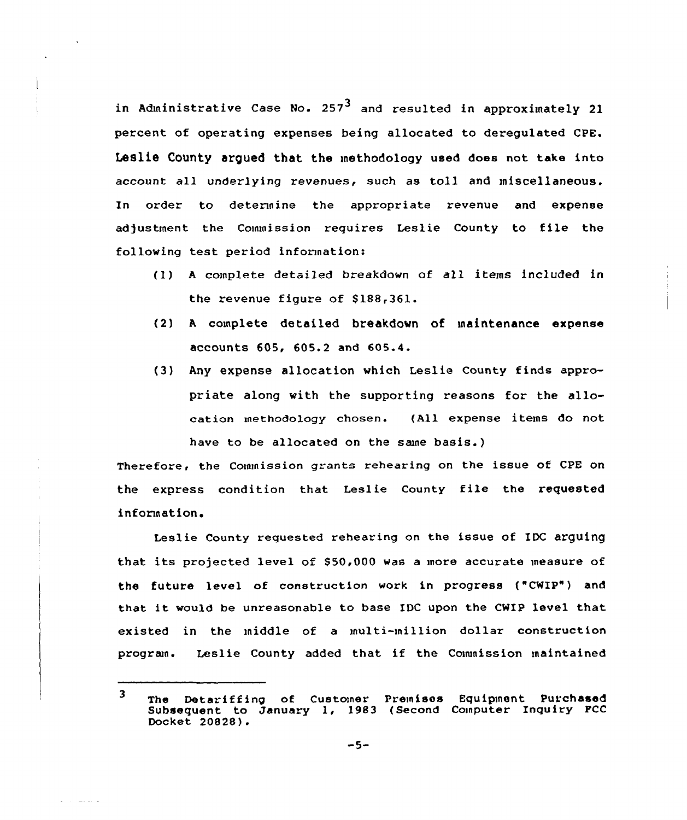in Administrative Case No. 257<sup>3</sup> and resulted in approximately 21 percent of operating expenses being allocated to deregulated CPE. Leslie County argued that the methodology used does not take into account all underlying revenues, such as toll and miscellaneous. In order to determine the appropriate revenue and expense adjustment the Commission requires Leslie County to file the following test period information:

- (1) <sup>A</sup> complete detailed breakdown of all items included in the revenue figure of \$188,361.
- (2) <sup>A</sup> complete detailed breakdown of maintenance expense accounts 605, 605.2 and 605.4.
- (3) Any expense allocation which Leslie County finds appropriate along with the supporting reasons for the allocation methodology chosen. (All expense items do not have to be allocated on the same basis.)

Therefore, the Commission grants rehearing on the issue of CPE on the express condition that Leslie County file the requested information.

Leslie County requested rehearing on the issue of IDC arguing that its projected level of S50,000 vas <sup>a</sup> more accurate measure of the future level of construction work in progress ("CHIP") and that it would be unreasonable to base IDC upon the CWIP level that existed in the iniddle of a multi-million dollar construction program. Leslie County added that if the Couunission maintained

 $\overline{\mathbf{3}}$ The Detariffing of Customer Premises Equipment Purchase subsequent to January 1, 1983 (Second Computer Inquiry FCC Docket 20828).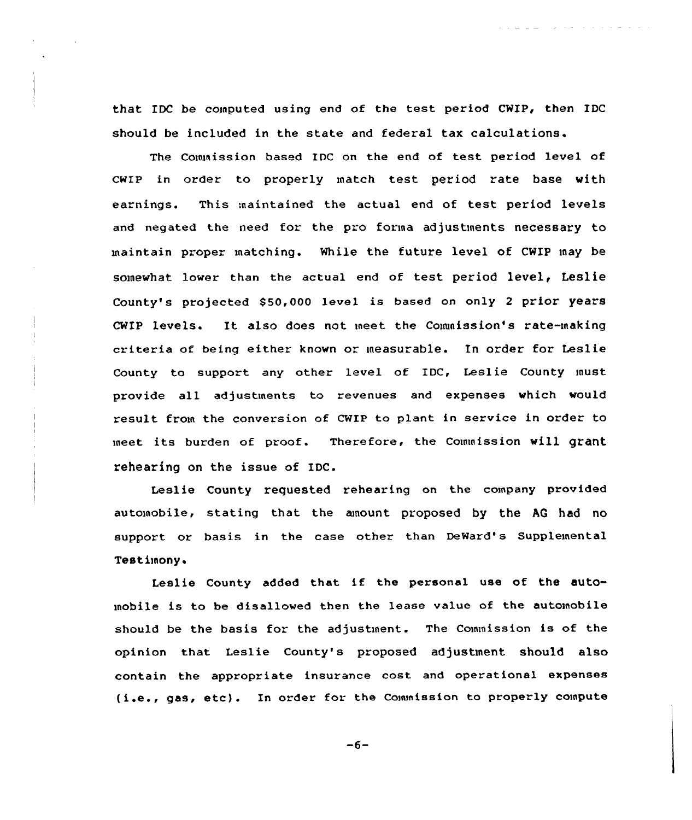that IDC be computed using end of the test period CWIP, then IDC should be included in the state and federal tax calculations.

The Commission based IDC on the end of test period level of cwrp in order to properly match test period rate base with earnings. This maintained the actual end of test period levels and negated the need for the pro forma adjustments necessary to maintain proper matching. While the future level of CWIP may be somewhat lower than the actual end of test period level, Leslie County's projected \$50,000 level is based on only 2 prior years CWIP levels. It also does not meet the Commission's rate-making criteria of being either known or measurable. In order for Leslie County to support any other level of IDC, Leslie County must provide all adjustments to revenues and expenses which would result from the conversion of CWIP to plant in service in order to meet its burden of proof. Therefore, the Commission will grant rehearing on the issue of IDC.

Leslie County requested rehearing on the company provided automobile, stating that the amount proposed by the AQ had no support or basis in the ease other than DeWard's Supplemental Test imony i

Leslie County added that if the personal use of the automobile is to be disallowed then the 1ease value of the automobile should be the basis for the adjustment. The Commission is of the opinion that Leslie County's proposed adjustment should also contain the appropriate insurance cost and operational expenses (i.e., gas, etc). In order for the Commission to properly compute

 $-6-$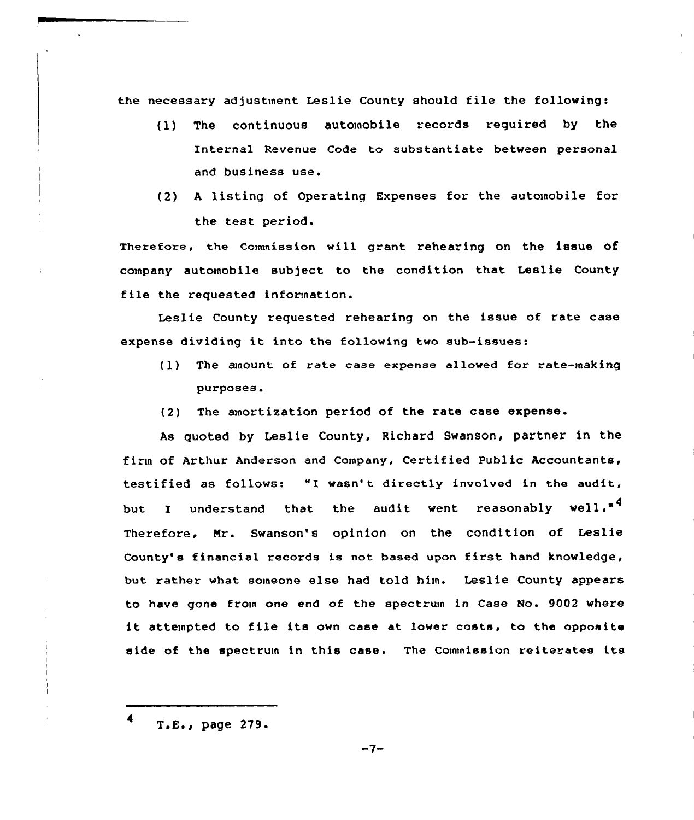the necessary adjustment Leslie County should file the following:

- (l) The continuous automobile records required by the Internal Revenue Code to substantiate between personal and business use.
- (2) <sup>A</sup> listing of Operating Expenses for the automobile for the test period.

Therefore, the Commission will grant rehearing on the issue of company automobile sub)ect to the condition that Leslie County file the requested information.

Leslie County requested rehearing on the issue of rate case expense dividing it into the following two sub-issues:

- $(1)$  The amount of rate case expense allowed for rate-making purposes.
- (2) The amortization period of the rate case expense.

As quoted by Leslie County, Richard Swanson, partner in the firm of Arthur Anderson and Company, Certified Public Accountants, testified as follows: "I wasn't directly involved in the audit, but I understand that the audit went reasonably well."<sup>4</sup> Therefore, Nr. Swanson's opinion on the condition of Leslie County's financial records is not based upon first hand knowledge, but rather what someone else had told him. Leslie County appears to have gone from one end of the spectrum in Case No. 9002 where it attempted to file its own case at lower costs, to the opposite side of the spectrum in this case. The Commission reiterates its

 $T.E., page 279.$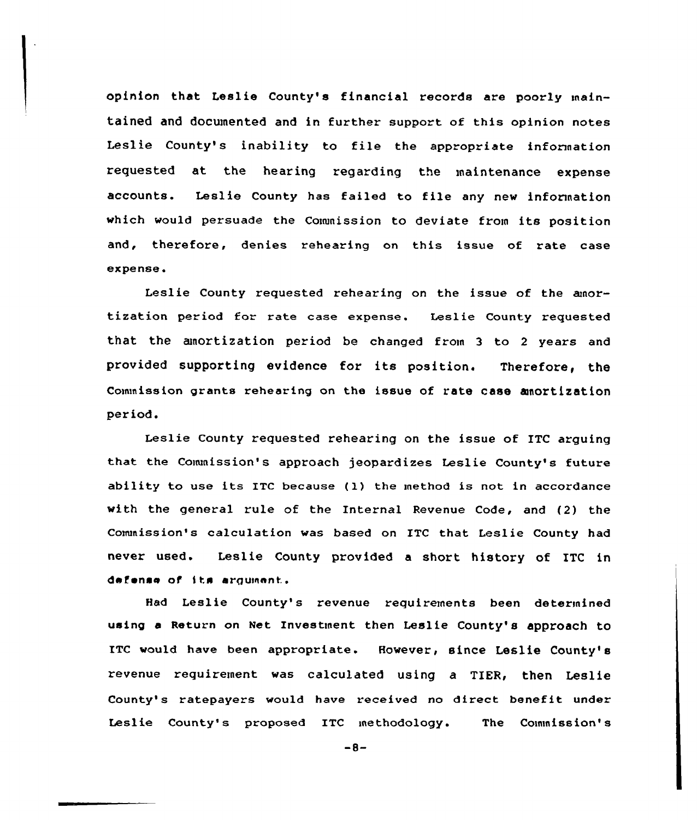opinion that Leslie County's financial records are poorly maintained and docunented and in further support of this opinion notes Leslie County's inability to file the appropriate information requested at the hearing regarding the maintenance expense accounts. Leslie County has failed to file any new information which would persuade the Conunission to deviate from its position and, therefore, denies rehearing on this issue of rate case expense.

Leslie County requested rehearing on the issue of the anortization period for rate case expense. Leslie County requested that the anortization period be changed from 3 to <sup>2</sup> years and provided supporting evidence for its position. Therefore, the Commission grants rehearing on the issue of rate case amortization period.

Leslie County requested rehearing on the issue of ITC arguing that the Conunission's approach jeopardizes Leslie County's future ability to use its ITC because (1) the method is not in accordance with the general rule of the Internal Revenue Code, and (2) the Connnission's calculation was based on ITC that Leslie County had never used. Leslie County provided a short history of ITC in defense of its argument.

Had Leslie County's revenue requirements been determined using a Return on Net Investment then Leslie County's approach to ITC would have been appropriate. However, since Leslie County's revenue requirement was calculated using a TIER, then Leslie County's ratepayers would have received no direct benefit under Leslie County's proposed ITC methodology. The Commission's

 $-8-$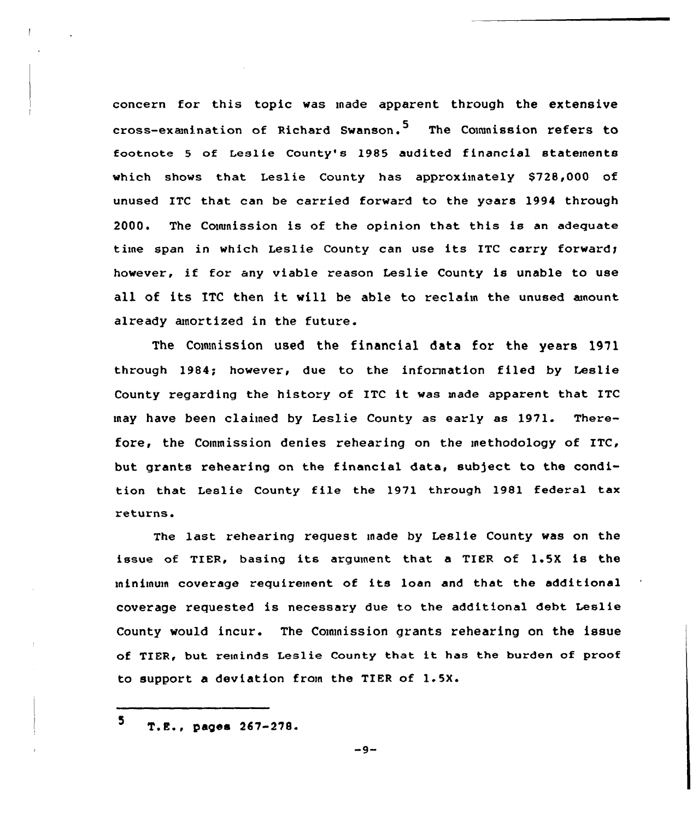concern for this topic was made apparent through the extensive cross-examination of Richard Swanson.<sup>5</sup> The Commission refers to footnote <sup>5</sup> of Leslie County's 1985 audited financial statements which shows that Leslie County has approximately \$728,000 of unused ITC that can be carried forward to the years 1994 through 2000. The Cownission is of the opinion that this is an adequate time span in which Leslie County can use its ITC carry forward; however, if for any viable reason Leslie County is unable to use all of its ITC then it will be able to reclaim the unused amount already amortized in the future.

The Commission used the financial data for the years 1971 through 1984; however, due to the information filed by Leslie County regarding the history of ITC it was made apparent that ITC may have been claimed by Leslie County as early as 1971. Therefore, the Commission denies rehearing on the methodology of ITC, but grants rehearing on the financial data, subject to the condition that Leslie County file the 1971 through 1981 federal tax returns.

The last rehearing request made by Leslie County was on the issue of TIER, basing its argument that a TIER of 1.5X is the minimum coverage requirement of its loan and that the additional coverage requested is necessary due to the additional debt Leslie County would incur. The Commission grants rehearing on the issue of TIER, but reminds Leslie County that it has the burden of proof to support a deviation from the TIER of 1.5X.

<sup>5</sup> T.E.. pages 267-278.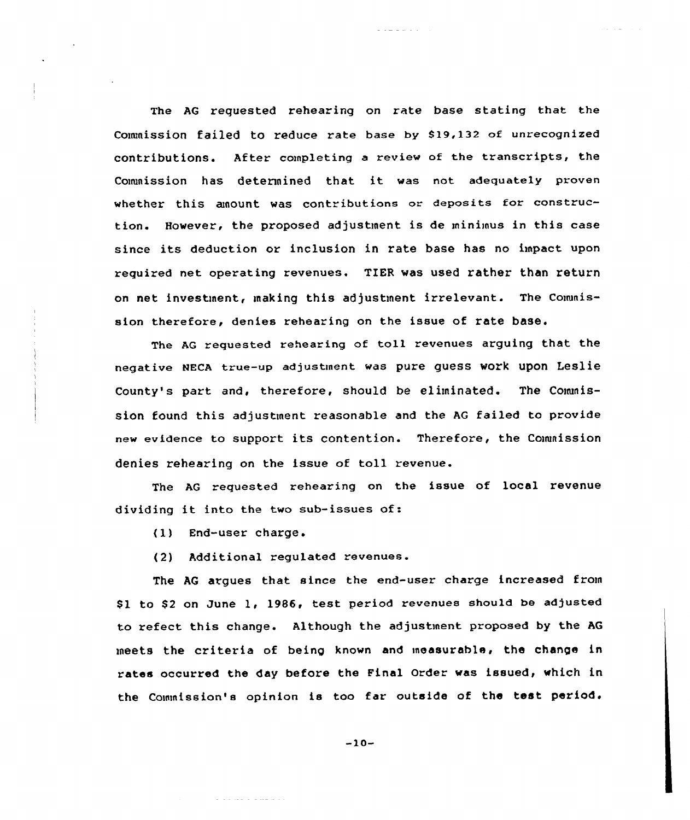The AG requested rehearing on rate base stating that the Connnission failed to reduce rate base by S19,132 of unrecognized contributions. After completing a review of the transcripts, the Commission has determined that it was not adequately proven whether this amount was contributions or deposits for construction. However, the proposed adjustment is de miniinus in this case since its deduction or inclusion in rate base has no impact upon required net operating revenues. TIER was used rather than return on net investment, making this adjustment irrelevant. The Conunission therefore, denies rehearing on the issue of rate base.

The AG requested rehearing of toll revenues arguing that the negative NEcA true-up adjustment was pure guess work upon Leslie County's part and, therefore, should be eliminated. The Commission found this adjustment reasonable and the AG failed to provide new evidence to support its contention. Therefore, the Cownission denies rehearing on the issue of toll revenue.

The AG requested rehearing on the issue of local revenue dividing it into the two sub-issues of:

(1) End-user charge

(2) Additional regulated revenues.

The AG argues that since the end-user charge increased from \$1 to \$2 on June 1, 1986, test period revenues should be adjusted to refect this change. Although the adjustment proposed by the AG meets the criteria of being known and measurable, the change in rates occurred the day before the Final Order was issued, which in the Commission's opinion is too far outside of the test period.

—10-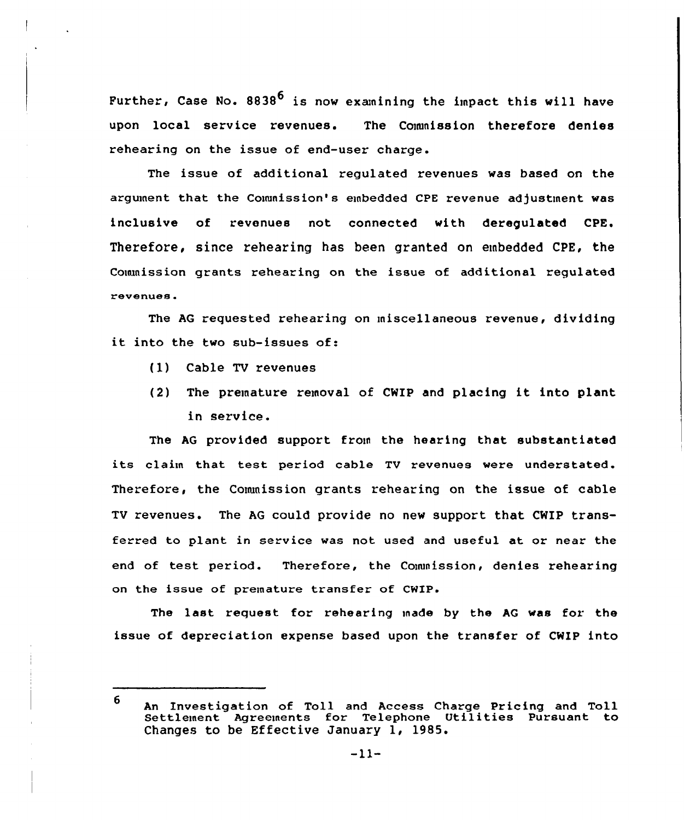Further, Case No.  $8838^6$  is now examining the impact this will have upon local service revenues. The Cownission therefore denies rehearing on the issue of end-user charge.

The issue of additional regulated revenues was based on the argument that the Couunission's embedded CPE revenue adjustment was inclusive of revenues not connected with deregulated CPE. Therefore, since rehearing has been granted on embedded CPE, the Commission grants rehearing on the issue of additional regulated x'evenues.

The AG requested rehearing on miscellaneous revenue, dividing it into the two sub-issues of:

- (1) Cable TV revenues
- (2) The premature removal of CWIP and placing it into plant in service.

The AG provided support from the hearing that substantiated its claim that test period cable TU revenues were understated. Therefore, the Conunission grants rehearing on the issue of cable TV revenues. The AG could provide no new support that CWIP transferred to plant in service was not used and useful at or near the end of test period. Therefore, the Couunission, denies rehearing on the issue of premature transfer of CWIP.

The last request for rehearing inade by the AG was for the issue of depreciation expense based upon the transfer of CWIP into

<sup>6</sup> An Investigation of Toll and Access Charge Pricing and Toll Settlement Agreements for Telephone Utilities Pursuant to Changes to be Effective January 1, 1985.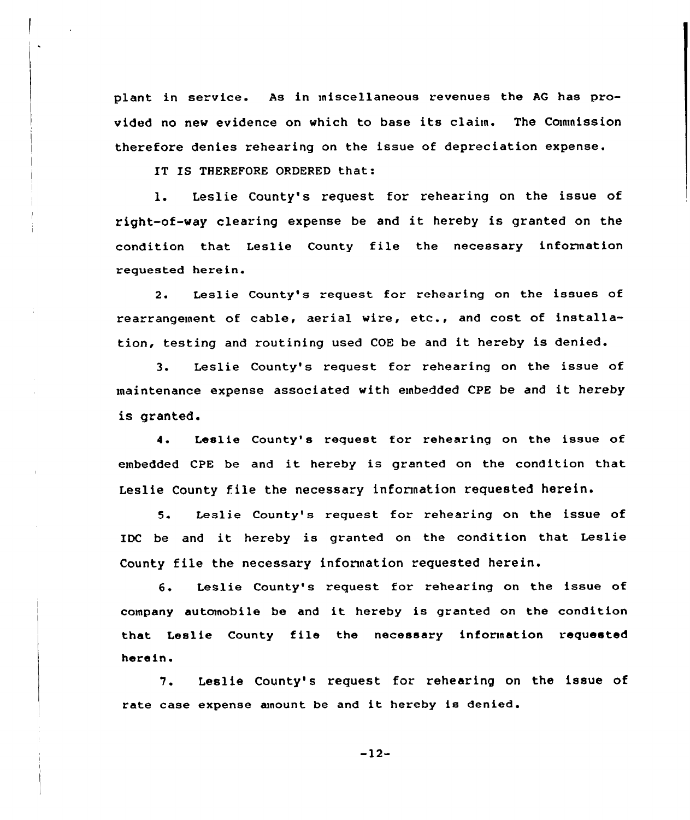plant in service. As in miscellaneous revenues the AG has provided no new evidence on which to base its claim. The Commission therefore denies rehearing on the issue of depreciation expense.

IT IS THEREFORE ORDERED that:

l. Leslie County's request for rehearing on the issue of right-of-way clearing expense be and it hereby is granted on the condition that. Leslie County file the necessary information requested herein.

2. Leslie County's request for rehearing on the issues of rearrangement of cable, aerial wire, etc., and cost of installation, testing and routining used COE be and it hereby is denied.

3. Leslie County's request for rehearing on the issue of maintenance expense associated with embedded CPE be and it hereby is granted.

4. Lealie County's request for rehearinq on the issue of embedded CPE be and it hereby is granted on the condition that Leslie County file the necessary information requested herein.

5. Leslie County's request for rehearing on the issue of IDC be and it hereby is granted on the condition that Leslie County file the necessary information requested herein.

6. Leslie County's request for rehearing on the issue of company automobile be and it hereby is granted on the condition that Leslie County file the necessary information requested herein.

7. Leslie County's request for rehearing on the issue of rate case expense amount be and it hereby is denied.

—12-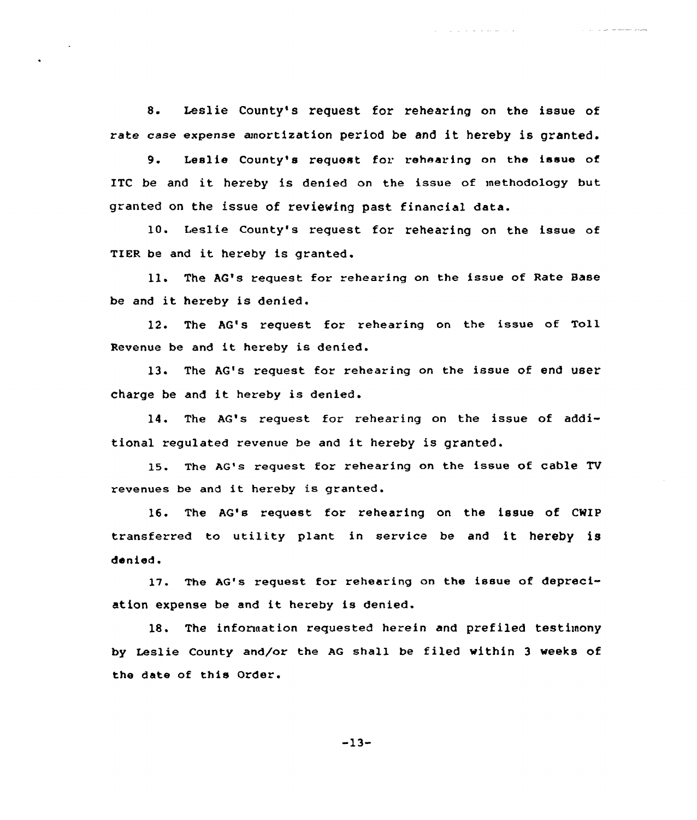8. Leslie County's request for rehearing on the issue of rate case expense amortization period be and it hereby is granted.

سندي مستشف سياسي والمرامين

and the second companies of the

Leslie County's request for rehearing on the issue of  $Q_{\perp}$ ETC be and it hereby is denied on the issue of methodology but granted on the issue of reviewing past financial data.

10. Leslie County's request for rehearing on the issue of TIER be and it hereby is granted.

ll. The AG's request for ehearing on the issue of Rate Base be and it hereby is denied.

12. The AG's request for rehearing on the issue of Toll Revenue be and it hereby is denied.

13. The AG's request for rehearing on the issue of end user charge be and it hereby is denied.

14. The AG's request for rehearing on the issue of additional regulated revenue be and it hereby is granted.

15. The AG's request for rehearing on the issue of cable TV revenues be and it hereby is granted.

16. The AG's request for rehearing on the issue of CHIP transferred to utility plant in service be and it hereby is denied.

17. The AG's request for rehearing on the issue of depreciation expense be and it hereby is denied.

1&. The information requested herein and prefiled testimony by Leslie County and/or the AG shall be filed within <sup>3</sup> weeks of the date of this Order.

-13-